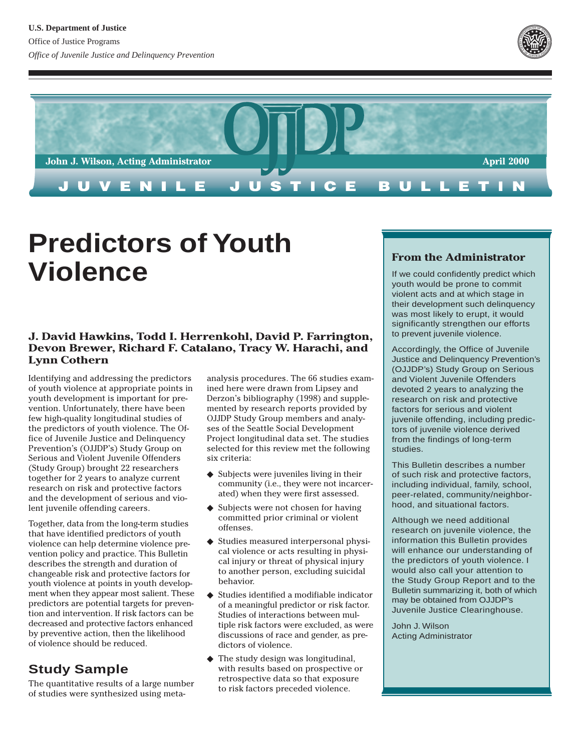



# **Predictors of Youth Violence**

## **J. David Hawkins, Todd I. Herrenkohl, David P. Farrington, Devon Brewer, Richard F. Catalano, Tracy W. Harachi, and Lynn Cothern**

Identifying and addressing the predictors of youth violence at appropriate points in youth development is important for prevention. Unfortunately, there have been few high-quality longitudinal studies of the predictors of youth violence. The Office of Juvenile Justice and Delinquency Prevention's (OJJDP's) Study Group on Serious and Violent Juvenile Offenders (Study Group) brought 22 researchers together for 2 years to analyze current research on risk and protective factors and the development of serious and violent juvenile offending careers.

Together, data from the long-term studies that have identified predictors of youth violence can help determine violence prevention policy and practice. This Bulletin describes the strength and duration of changeable risk and protective factors for youth violence at points in youth development when they appear most salient. These predictors are potential targets for prevention and intervention. If risk factors can be decreased and protective factors enhanced by preventive action, then the likelihood of violence should be reduced.

# **Study Sample**

The quantitative results of a large number of studies were synthesized using metaanalysis procedures. The 66 studies examined here were drawn from Lipsey and Derzon's bibliography (1998) and supplemented by research reports provided by OJJDP Study Group members and analyses of the Seattle Social Development Project longitudinal data set. The studies selected for this review met the following six criteria:

- ◆ Subjects were juveniles living in their community (i.e., they were not incarcerated) when they were first assessed.
- ◆ Subjects were not chosen for having committed prior criminal or violent offenses.
- ◆ Studies measured interpersonal physical violence or acts resulting in physical injury or threat of physical injury to another person, excluding suicidal behavior.
- ◆ Studies identified a modifiable indicator of a meaningful predictor or risk factor. Studies of interactions between multiple risk factors were excluded, as were discussions of race and gender, as predictors of violence.
- ◆ The study design was longitudinal, with results based on prospective or retrospective data so that exposure to risk factors preceded violence.

## **From the Administrator**

If we could confidently predict which youth would be prone to commit violent acts and at which stage in their development such delinquency was most likely to erupt, it would significantly strengthen our efforts to prevent juvenile violence.

Accordingly, the Office of Juvenile Justice and Delinquency Prevention's (OJJDP's) Study Group on Serious and Violent Juvenile Offenders devoted 2 years to analyzing the research on risk and protective factors for serious and violent juvenile offending, including predictors of juvenile violence derived from the findings of long-term studies.

This Bulletin describes a number of such risk and protective factors, including individual, family, school, peer-related, community/neighborhood, and situational factors.

Although we need additional research on juvenile violence, the information this Bulletin provides will enhance our understanding of the predictors of youth violence. I would also call your attention to the Study Group Report and to the Bulletin summarizing it, both of which may be obtained from OJJDP's Juvenile Justice Clearinghouse.

John J. Wilson Acting Administrator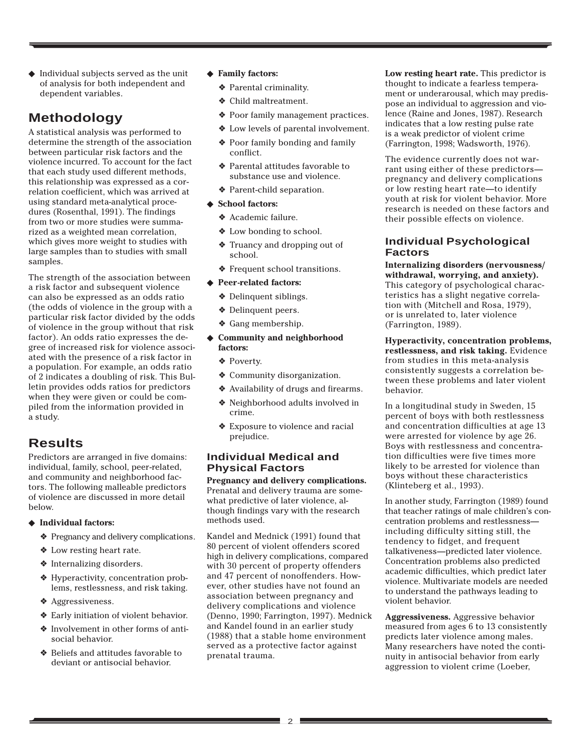◆ Individual subjects served as the unit of analysis for both independent and dependent variables.

# **Methodology**

A statistical analysis was performed to determine the strength of the association between particular risk factors and the violence incurred. To account for the fact that each study used different methods, this relationship was expressed as a correlation coefficient, which was arrived at using standard meta-analytical procedures (Rosenthal, 1991). The findings from two or more studies were summarized as a weighted mean correlation, which gives more weight to studies with large samples than to studies with small samples.

The strength of the association between a risk factor and subsequent violence can also be expressed as an odds ratio (the odds of violence in the group with a particular risk factor divided by the odds of violence in the group without that risk factor). An odds ratio expresses the degree of increased risk for violence associated with the presence of a risk factor in a population. For example, an odds ratio of 2 indicates a doubling of risk. This Bulletin provides odds ratios for predictors when they were given or could be compiled from the information provided in a study.

# **Results**

Predictors are arranged in five domains: individual, family, school, peer-related, and community and neighborhood factors. The following malleable predictors of violence are discussed in more detail below.

- ◆ **Individual factors:**
	- ❖ Pregnancy and delivery complications.
	- ❖ Low resting heart rate.
	- ❖ Internalizing disorders.
	- ❖ Hyperactivity, concentration problems, restlessness, and risk taking.
	- ❖ Aggressiveness.
	- ❖ Early initiation of violent behavior.
	- ❖ Involvement in other forms of antisocial behavior.
	- ❖ Beliefs and attitudes favorable to deviant or antisocial behavior.
- ◆ **Family factors:**
	- ❖ Parental criminality.
	- ❖ Child maltreatment.
	- ❖ Poor family management practices.
	- ❖ Low levels of parental involvement.
	- ❖ Poor family bonding and family conflict.
	- ❖ Parental attitudes favorable to substance use and violence.
	- ❖ Parent-child separation.
- ◆ **School factors:**
	- ❖ Academic failure.
	- ❖ Low bonding to school.
	- ❖ Truancy and dropping out of school.
	- ❖ Frequent school transitions.
- ◆ **Peer-related factors:**
	- ❖ Delinquent siblings.
	- ❖ Delinquent peers.
	- ❖ Gang membership.
- ◆ **Community and neighborhood factors:**
	- ❖ Poverty.
	- ❖ Community disorganization.
	- ❖ Availability of drugs and firearms. ❖ Neighborhood adults involved in
	- crime. ❖ Exposure to violence and racial
	- prejudice.

## **Individual Medical and Physical Factors**

**Pregnancy and delivery complications.** Prenatal and delivery trauma are somewhat predictive of later violence, although findings vary with the research methods used.

Kandel and Mednick (1991) found that 80 percent of violent offenders scored high in delivery complications, compared with 30 percent of property offenders and 47 percent of nonoffenders. However, other studies have not found an association between pregnancy and delivery complications and violence (Denno, 1990; Farrington, 1997). Mednick and Kandel found in an earlier study (1988) that a stable home environment served as a protective factor against prenatal trauma.

**Low resting heart rate.** This predictor is thought to indicate a fearless temperament or underarousal, which may predispose an individual to aggression and violence (Raine and Jones, 1987). Research indicates that a low resting pulse rate is a weak predictor of violent crime (Farrington, 1998; Wadsworth, 1976).

The evidence currently does not warrant using either of these predictors pregnancy and delivery complications or low resting heart rate—to identify youth at risk for violent behavior. More research is needed on these factors and their possible effects on violence.

### **Individual Psychological Factors**

**Internalizing disorders (nervousness/ withdrawal, worrying, and anxiety).** This category of psychological characteristics has a slight negative correlation with (Mitchell and Rosa, 1979), or is unrelated to, later violence (Farrington, 1989).

**Hyperactivity, concentration problems, restlessness, and risk taking.** Evidence from studies in this meta-analysis consistently suggests a correlation between these problems and later violent behavior.

In a longitudinal study in Sweden, 15 percent of boys with both restlessness and concentration difficulties at age 13 were arrested for violence by age 26. Boys with restlessness and concentration difficulties were five times more likely to be arrested for violence than boys without these characteristics (Klinteberg et al., 1993).

In another study, Farrington (1989) found that teacher ratings of male children's concentration problems and restlessness including difficulty sitting still, the tendency to fidget, and frequent talkativeness—predicted later violence. Concentration problems also predicted academic difficulties, which predict later violence. Multivariate models are needed to understand the pathways leading to violent behavior.

**Aggressiveness.** Aggressive behavior measured from ages 6 to 13 consistently predicts later violence among males. Many researchers have noted the continuity in antisocial behavior from early aggression to violent crime (Loeber,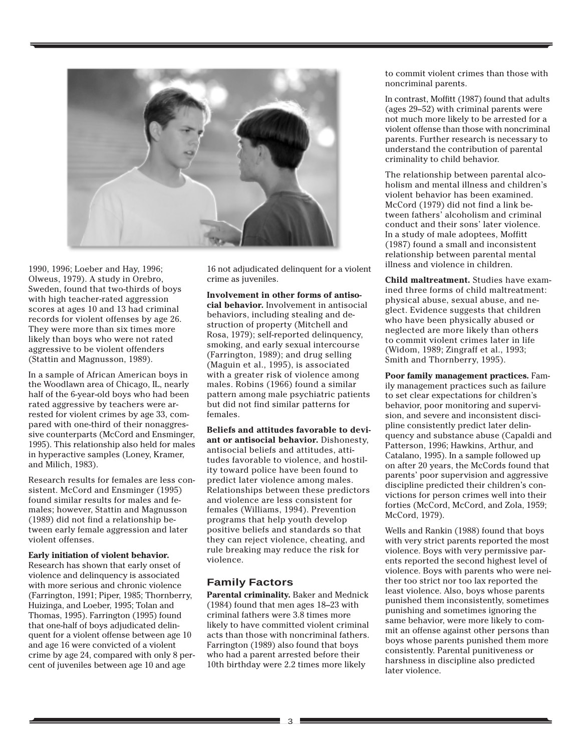

1990, 1996; Loeber and Hay, 1996; Olweus, 1979). A study in Orebro, Sweden, found that two-thirds of boys with high teacher-rated aggression scores at ages 10 and 13 had criminal records for violent offenses by age 26. They were more than six times more likely than boys who were not rated aggressive to be violent offenders (Stattin and Magnusson, 1989).

In a sample of African American boys in the Woodlawn area of Chicago, IL, nearly half of the 6-year-old boys who had been rated aggressive by teachers were arrested for violent crimes by age 33, compared with one-third of their nonaggressive counterparts (McCord and Ensminger, 1995). This relationship also held for males in hyperactive samples (Loney, Kramer, and Milich, 1983).

Research results for females are less consistent. McCord and Ensminger (1995) found similar results for males and females; however, Stattin and Magnusson (1989) did not find a relationship between early female aggression and later violent offenses.

#### **Early initiation of violent behavior.**

Research has shown that early onset of violence and delinquency is associated with more serious and chronic violence (Farrington, 1991; Piper, 1985; Thornberry, Huizinga, and Loeber, 1995; Tolan and Thomas, 1995). Farrington (1995) found that one-half of boys adjudicated delinquent for a violent offense between age 10 and age 16 were convicted of a violent crime by age 24, compared with only 8 percent of juveniles between age 10 and age

16 not adjudicated delinquent for a violent crime as juveniles.

**Involvement in other forms of antisocial behavior.** Involvement in antisocial behaviors, including stealing and destruction of property (Mitchell and Rosa, 1979); self-reported delinquency, smoking, and early sexual intercourse (Farrington, 1989); and drug selling (Maguin et al., 1995), is associated with a greater risk of violence among males. Robins (1966) found a similar pattern among male psychiatric patients but did not find similar patterns for females.

**Beliefs and attitudes favorable to deviant or antisocial behavior.** Dishonesty, antisocial beliefs and attitudes, attitudes favorable to violence, and hostility toward police have been found to predict later violence among males. Relationships between these predictors and violence are less consistent for females (Williams, 1994). Prevention programs that help youth develop positive beliefs and standards so that they can reject violence, cheating, and rule breaking may reduce the risk for violence.

#### **Family Factors**

**Parental criminality.** Baker and Mednick (1984) found that men ages 18–23 with criminal fathers were 3.8 times more likely to have committed violent criminal acts than those with noncriminal fathers. Farrington (1989) also found that boys who had a parent arrested before their 10th birthday were 2.2 times more likely

to commit violent crimes than those with noncriminal parents.

In contrast, Moffitt (1987) found that adults (ages 29–52) with criminal parents were not much more likely to be arrested for a violent offense than those with noncriminal parents. Further research is necessary to understand the contribution of parental criminality to child behavior.

The relationship between parental alcoholism and mental illness and children's violent behavior has been examined. McCord (1979) did not find a link between fathers' alcoholism and criminal conduct and their sons' later violence. In a study of male adoptees, Moffitt (1987) found a small and inconsistent relationship between parental mental illness and violence in children.

**Child maltreatment.** Studies have examined three forms of child maltreatment: physical abuse, sexual abuse, and neglect. Evidence suggests that children who have been physically abused or neglected are more likely than others to commit violent crimes later in life (Widom, 1989; Zingraff et al., 1993; Smith and Thornberry, 1995).

**Poor family management practices.** Family management practices such as failure to set clear expectations for children's behavior, poor monitoring and supervision, and severe and inconsistent discipline consistently predict later delinquency and substance abuse (Capaldi and Patterson, 1996; Hawkins, Arthur, and Catalano, 1995). In a sample followed up on after 20 years, the McCords found that parents' poor supervision and aggressive discipline predicted their children's convictions for person crimes well into their forties (McCord, McCord, and Zola, 1959; McCord, 1979).

Wells and Rankin (1988) found that boys with very strict parents reported the most violence. Boys with very permissive parents reported the second highest level of violence. Boys with parents who were neither too strict nor too lax reported the least violence. Also, boys whose parents punished them inconsistently, sometimes punishing and sometimes ignoring the same behavior, were more likely to commit an offense against other persons than boys whose parents punished them more consistently. Parental punitiveness or harshness in discipline also predicted later violence.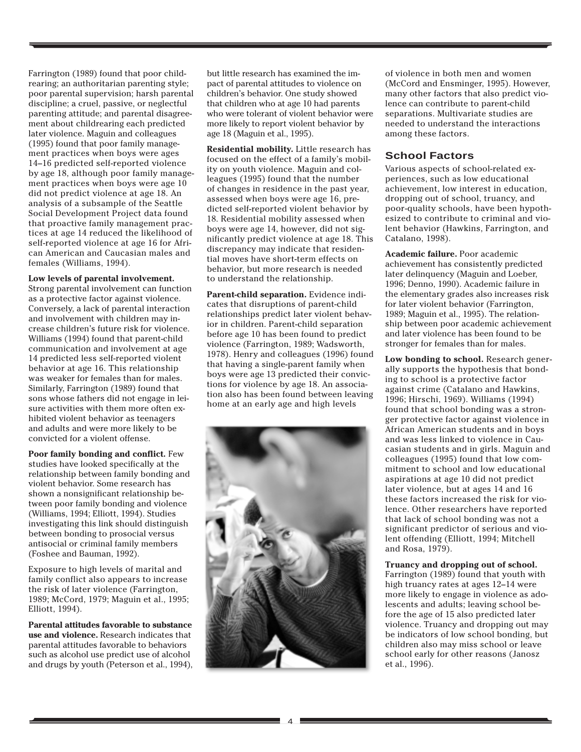Farrington (1989) found that poor childrearing; an authoritarian parenting style; poor parental supervision; harsh parental discipline; a cruel, passive, or neglectful parenting attitude; and parental disagreement about childrearing each predicted later violence. Maguin and colleagues (1995) found that poor family management practices when boys were ages 14–16 predicted self-reported violence by age 18, although poor family management practices when boys were age 10 did not predict violence at age 18. An analysis of a subsample of the Seattle Social Development Project data found that proactive family management practices at age 14 reduced the likelihood of self-reported violence at age 16 for African American and Caucasian males and females (Williams, 1994).

#### **Low levels of parental involvement.**

Strong parental involvement can function as a protective factor against violence. Conversely, a lack of parental interaction and involvement with children may increase children's future risk for violence. Williams (1994) found that parent-child communication and involvement at age 14 predicted less self-reported violent behavior at age 16. This relationship was weaker for females than for males. Similarly, Farrington (1989) found that sons whose fathers did not engage in leisure activities with them more often exhibited violent behavior as teenagers and adults and were more likely to be convicted for a violent offense.

**Poor family bonding and conflict.** Few studies have looked specifically at the relationship between family bonding and violent behavior. Some research has shown a nonsignificant relationship between poor family bonding and violence (Williams, 1994; Elliott, 1994). Studies investigating this link should distinguish between bonding to prosocial versus antisocial or criminal family members (Foshee and Bauman, 1992).

Exposure to high levels of marital and family conflict also appears to increase the risk of later violence (Farrington, 1989; McCord, 1979; Maguin et al., 1995; Elliott, 1994).

**Parental attitudes favorable to substance use and violence.** Research indicates that parental attitudes favorable to behaviors such as alcohol use predict use of alcohol and drugs by youth (Peterson et al., 1994),

but little research has examined the impact of parental attitudes to violence on children's behavior. One study showed that children who at age 10 had parents who were tolerant of violent behavior were more likely to report violent behavior by age 18 (Maguin et al., 1995).

**Residential mobility.** Little research has focused on the effect of a family's mobility on youth violence. Maguin and colleagues (1995) found that the number of changes in residence in the past year, assessed when boys were age 16, predicted self-reported violent behavior by 18. Residential mobility assessed when boys were age 14, however, did not significantly predict violence at age 18. This discrepancy may indicate that residential moves have short-term effects on behavior, but more research is needed to understand the relationship.

**Parent-child separation.** Evidence indicates that disruptions of parent-child relationships predict later violent behavior in children. Parent-child separation before age 10 has been found to predict violence (Farrington, 1989; Wadsworth, 1978). Henry and colleagues (1996) found that having a single-parent family when boys were age 13 predicted their convictions for violence by age 18. An association also has been found between leaving home at an early age and high levels



of violence in both men and women (McCord and Ensminger, 1995). However, many other factors that also predict violence can contribute to parent-child separations. Multivariate studies are needed to understand the interactions among these factors.

#### **School Factors**

Various aspects of school-related experiences, such as low educational achievement, low interest in education, dropping out of school, truancy, and poor-quality schools, have been hypothesized to contribute to criminal and violent behavior (Hawkins, Farrington, and Catalano, 1998).

**Academic failure.** Poor academic achievement has consistently predicted later delinquency (Maguin and Loeber, 1996; Denno, 1990). Academic failure in the elementary grades also increases risk for later violent behavior (Farrington, 1989; Maguin et al., 1995). The relationship between poor academic achievement and later violence has been found to be stronger for females than for males.

**Low bonding to school.** Research generally supports the hypothesis that bonding to school is a protective factor against crime (Catalano and Hawkins, 1996; Hirschi, 1969). Williams (1994) found that school bonding was a stronger protective factor against violence in African American students and in boys and was less linked to violence in Caucasian students and in girls. Maguin and colleagues (1995) found that low commitment to school and low educational aspirations at age 10 did not predict later violence, but at ages 14 and 16 these factors increased the risk for violence. Other researchers have reported that lack of school bonding was not a significant predictor of serious and violent offending (Elliott, 1994; Mitchell and Rosa, 1979).

#### **Truancy and dropping out of school.**

Farrington (1989) found that youth with high truancy rates at ages 12–14 were more likely to engage in violence as adolescents and adults; leaving school before the age of 15 also predicted later violence. Truancy and dropping out may be indicators of low school bonding, but children also may miss school or leave school early for other reasons (Janosz et al., 1996).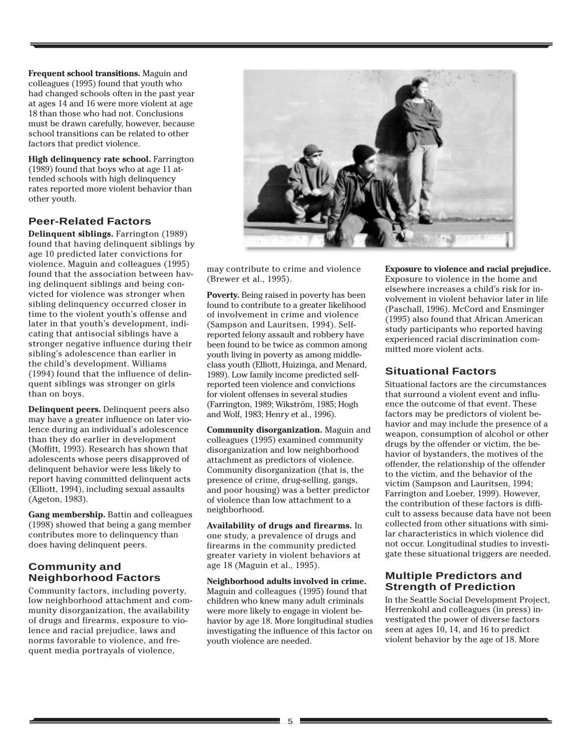**Frequent school transitions.** Maguin and colleagues (1995) found that youth who had changed schools often in the past year at ages 14 and 16 were more violent at age 18 than those who had not. Conclusions must be drawn carefully, however, because school transitions can be related to other factors that predict violence.

**High delinquency rate school.** Farrington (1989) found that boys who at age 11 attended schools with high delinquency rates reported more violent behavior than other youth.

### **Peer-Related Factors**

**Delinquent siblings.** Farrington (1989) found that having delinquent siblings by age 10 predicted later convictions for violence. Maguin and colleagues (1995) found that the association between having delinquent siblings and being convicted for violence was stronger when sibling delinquency occurred closer in time to the violent youth's offense and later in that youth's development, indicating that antisocial siblings have a stronger negative influence during their sibling's adolescence than earlier in the child's development. Williams (1994) found that the influence of delinquent siblings was stronger on girls than on boys.

**Delinquent peers.** Delinquent peers also may have a greater influence on later violence during an individual's adolescence than they do earlier in development (Moffitt, 1993). Research has shown that adolescents whose peers disapproved of delinquent behavior were less likely to report having committed delinquent acts (Elliott, 1994), including sexual assaults (Ageton, 1983).

**Gang membership.** Battin and colleagues (1998) showed that being a gang member contributes more to delinquency than does having delinquent peers.

## **Community and Neighborhood Factors**

Community factors, including poverty, low neighborhood attachment and community disorganization, the availability of drugs and firearms, exposure to violence and racial prejudice, laws and norms favorable to violence, and frequent media portrayals of violence,



may contribute to crime and violence (Brewer et al., 1995).

**Poverty.** Being raised in poverty has been found to contribute to a greater likelihood of involvement in crime and violence (Sampson and Lauritsen, 1994). Selfreported felony assault and robbery have been found to be twice as common among youth living in poverty as among middleclass youth (Elliott, Huizinga, and Menard, 1989). Low family income predicted selfreported teen violence and convictions for violent offenses in several studies (Farrington, 1989; Wikström, 1985; Hogh and Wolf, 1983; Henry et al., 1996).

**Community disorganization.** Maguin and colleagues (1995) examined community disorganization and low neighborhood attachment as predictors of violence. Community disorganization (that is, the presence of crime, drug-selling, gangs, and poor housing) was a better predictor of violence than low attachment to a neighborhood.

**Availability of drugs and firearms.** In one study, a prevalence of drugs and firearms in the community predicted greater variety in violent behaviors at age 18 (Maguin et al., 1995).

**Neighborhood adults involved in crime.** Maguin and colleagues (1995) found that children who knew many adult criminals were more likely to engage in violent behavior by age 18. More longitudinal studies investigating the influence of this factor on youth violence are needed.

**Exposure to violence and racial prejudice.** Exposure to violence in the home and elsewhere increases a child's risk for involvement in violent behavior later in life (Paschall, 1996). McCord and Ensminger (1995) also found that African American study participants who reported having experienced racial discrimination committed more violent acts.

## **Situational Factors**

Situational factors are the circumstances that surround a violent event and influence the outcome of that event. These factors may be predictors of violent behavior and may include the presence of a weapon, consumption of alcohol or other drugs by the offender or victim, the behavior of bystanders, the motives of the offender, the relationship of the offender to the victim, and the behavior of the victim (Sampson and Lauritsen, 1994; Farrington and Loeber, 1999). However, the contribution of these factors is difficult to assess because data have not been collected from other situations with similar characteristics in which violence did not occur. Longitudinal studies to investigate these situational triggers are needed.

#### **Multiple Predictors and Strength of Prediction**

In the Seattle Social Development Project, Herrenkohl and colleagues (in press) investigated the power of diverse factors seen at ages 10, 14, and 16 to predict violent behavior by the age of 18. More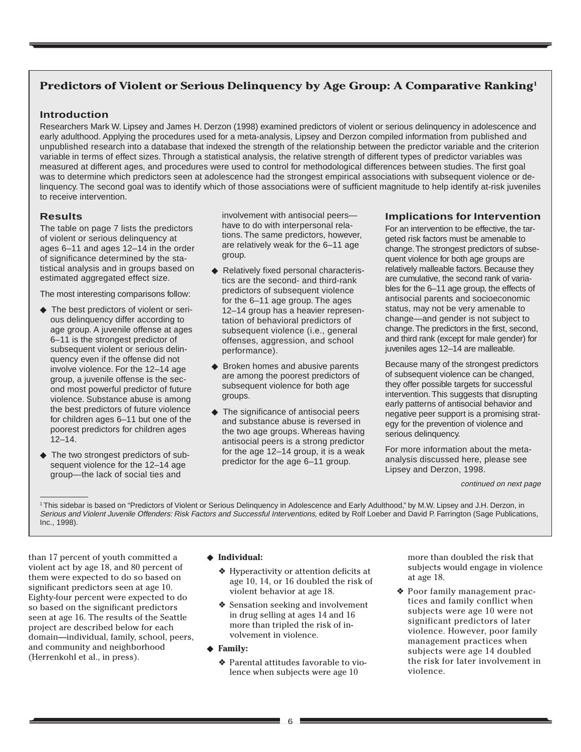## **Predictors of Violent or Serious Delinquency by Age Group: A Comparative Ranking1**

#### **Introduction**

Researchers Mark W. Lipsey and James H. Derzon (1998) examined predictors of violent or serious delinquency in adolescence and early adulthood. Applying the procedures used for a meta-analysis, Lipsey and Derzon compiled information from published and unpublished research into a database that indexed the strength of the relationship between the predictor variable and the criterion variable in terms of effect sizes. Through a statistical analysis, the relative strength of different types of predictor variables was measured at different ages, and procedures were used to control for methodological differences between studies. The first goal was to determine which predictors seen at adolescence had the strongest empirical associations with subsequent violence or delinquency. The second goal was to identify which of those associations were of sufficient magnitude to help identify at-risk juveniles to receive intervention.

#### **Results**

The table on page 7 lists the predictors of violent or serious delinquency at ages 6–11 and ages 12–14 in the order of significance determined by the statistical analysis and in groups based on estimated aggregated effect size.

The most interesting comparisons follow:

- ◆ The best predictors of violent or serious delinquency differ according to age group. A juvenile offense at ages 6–11 is the strongest predictor of subsequent violent or serious delinquency even if the offense did not involve violence. For the 12–14 age group, a juvenile offense is the second most powerful predictor of future violence. Substance abuse is among the best predictors of future violence for children ages 6–11 but one of the poorest predictors for children ages 12–14.
- ◆ The two strongest predictors of subsequent violence for the 12–14 age group—the lack of social ties and

involvement with antisocial peers have to do with interpersonal relations. The same predictors, however, are relatively weak for the 6–11 age group.

- ◆ Relatively fixed personal characteristics are the second- and third-rank predictors of subsequent violence for the 6–11 age group. The ages 12–14 group has a heavier representation of behavioral predictors of subsequent violence (i.e., general offenses, aggression, and school performance).
- ◆ Broken homes and abusive parents are among the poorest predictors of subsequent violence for both age groups.
- ◆ The significance of antisocial peers and substance abuse is reversed in the two age groups. Whereas having antisocial peers is a strong predictor for the age 12–14 group, it is a weak predictor for the age 6–11 group.

#### **Implications for Intervention**

For an intervention to be effective, the targeted risk factors must be amenable to change. The strongest predictors of subsequent violence for both age groups are relatively malleable factors. Because they are cumulative, the second rank of variables for the 6–11 age group, the effects of antisocial parents and socioeconomic status, may not be very amenable to change—and gender is not subject to change. The predictors in the first, second, and third rank (except for male gender) for juveniles ages 12–14 are malleable.

Because many of the strongest predictors of subsequent violence can be changed, they offer possible targets for successful intervention. This suggests that disrupting early patterns of antisocial behavior and negative peer support is a promising strategy for the prevention of violence and serious delinquency.

For more information about the metaanalysis discussed here, please see Lipsey and Derzon, 1998.

continued on next page

1 This sidebar is based on "Predictors of Violent or Serious Delinquency in Adolescence and Early Adulthood," by M.W. Lipsey and J.H. Derzon, in Serious and Violent Juvenile Offenders: Risk Factors and Successful Interventions, edited by Rolf Loeber and David P. Farrington (Sage Publications, Inc., 1998).

than 17 percent of youth committed a violent act by age 18, and 80 percent of them were expected to do so based on significant predictors seen at age 10. Eighty-four percent were expected to do so based on the significant predictors seen at age 16. The results of the Seattle project are described below for each domain—individual, family, school, peers, and community and neighborhood (Herrenkohl et al., in press).

#### ◆ **Individual:**

- ❖ Hyperactivity or attention deficits at age 10, 14, or 16 doubled the risk of violent behavior at age 18.
- ❖ Sensation seeking and involvement in drug selling at ages 14 and 16 more than tripled the risk of involvement in violence.
- ◆ **Family:**
	- ❖ Parental attitudes favorable to violence when subjects were age 10

more than doubled the risk that subjects would engage in violence at age 18.

❖ Poor family management practices and family conflict when subjects were age 10 were not significant predictors of later violence. However, poor family management practices when subjects were age 14 doubled the risk for later involvement in violence.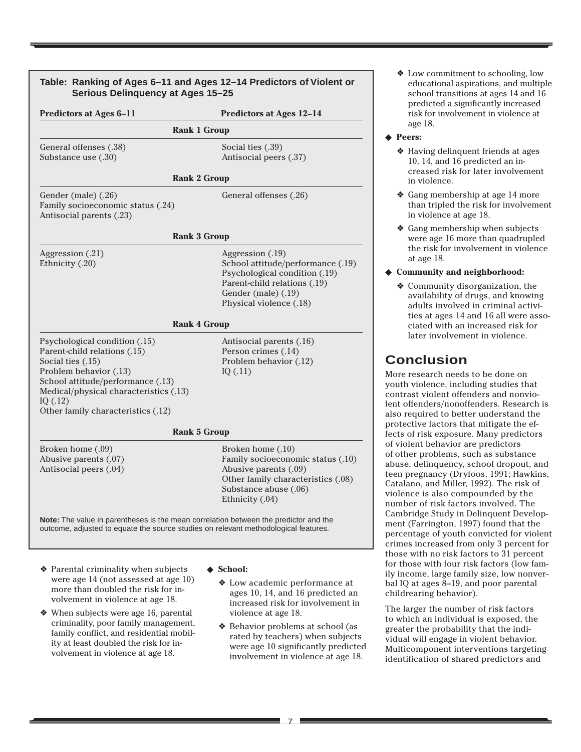| Table: Ranking of Ages 6-11 and Ages 12-14 Predictors of Violent or<br>Serious Delinquency at Ages 15-25                                                                                                                                        |                                                                                                                                                                   | ❖ Low commitmer<br>educational asp<br>school transitio<br>predicted a sign                                                                                              |
|-------------------------------------------------------------------------------------------------------------------------------------------------------------------------------------------------------------------------------------------------|-------------------------------------------------------------------------------------------------------------------------------------------------------------------|-------------------------------------------------------------------------------------------------------------------------------------------------------------------------|
| <b>Predictors at Ages 6-11</b>                                                                                                                                                                                                                  | Predictors at Ages 12-14                                                                                                                                          | risk for involver                                                                                                                                                       |
| <b>Rank 1 Group</b>                                                                                                                                                                                                                             |                                                                                                                                                                   | age 18.<br>◆ Peers:                                                                                                                                                     |
| General offenses (.38)<br>Substance use (.30)<br><b>Rank 2 Group</b>                                                                                                                                                                            | Social ties (.39)<br>Antisocial peers (.37)                                                                                                                       | ◆ Having delinque<br>10, 14, and 16 p<br>creased risk for<br>in violence.                                                                                               |
| Gender (male) (.26)<br>Family socioeconomic status (.24)<br>Antisocial parents (.23)                                                                                                                                                            | General offenses (.26)                                                                                                                                            | ❖ Gang membersl<br>than tripled the<br>in violence at a                                                                                                                 |
| <b>Rank 3 Group</b>                                                                                                                                                                                                                             |                                                                                                                                                                   | ❖ Gang membersl<br>were age 16 mo                                                                                                                                       |
| Aggression (.21)                                                                                                                                                                                                                                | Aggression (.19)                                                                                                                                                  | the risk for invo<br>at age 18.                                                                                                                                         |
| Ethnicity (.20)                                                                                                                                                                                                                                 | School attitude/performance (.19)<br>Psychological condition (.19)                                                                                                | ◆ Community and n                                                                                                                                                       |
|                                                                                                                                                                                                                                                 | Parent-child relations (.19)<br>Gender (male) (.19)<br>Physical violence (.18)                                                                                    | ❖ Community dis<br>availability of c<br>adults involved<br>ties at ages 14                                                                                              |
| <b>Rank 4 Group</b>                                                                                                                                                                                                                             |                                                                                                                                                                   | ciated with an i                                                                                                                                                        |
| Psychological condition (.15)<br>Parent-child relations (.15)<br>Social ties (.15)<br>Problem behavior (.13)<br>School attitude/performance (.13)<br>Medical/physical characteristics (.13)<br>IQ $(.12)$<br>Other family characteristics (.12) | Antisocial parents (.16)<br>Person crimes (.14)<br>Problem behavior (.12)<br>IQ(.11)                                                                              | later involveme<br><b>Conclusion</b><br>More research needs<br>youth violence, inclu<br>contrast violent offer<br>lent offenders/nonof<br>also required to bett         |
| <b>Rank 5 Group</b>                                                                                                                                                                                                                             |                                                                                                                                                                   | protective factors th<br>fects of risk exposure                                                                                                                         |
| Broken home (.09)<br>Abusive parents (.07)<br>Antisocial peers (.04)                                                                                                                                                                            | Broken home (.10)<br>Family socioeconomic status (.10)<br>Abusive parents (.09)<br>Other family characteristics (.08)<br>Substance abuse (.06)<br>Ethnicity (.04) | of violent behavior a<br>of other problems, su<br>abuse, delinquency, a<br>teen pregnancy (Dry<br>Catalano, and Miller,<br>violence is also com<br>number of risk facto |
| Note: The value in parentheses is the mean correlation between the predictor and the<br>outcome, adjusted to equate the source studies on relevant methodological features.                                                                     |                                                                                                                                                                   | Cambridge Study in I<br>ment (Farrington, 19<br>percentage of youth<br>crimes increased fro                                                                             |
| ❖ Parental criminality when subjects<br>were age 14 (not assessed at age 10)                                                                                                                                                                    | ◆ School:<br>♦ Low academic performance at                                                                                                                        | those with no risk fa<br>for those with four ri<br>ily income, large fam<br>bal IQ at ages 8-19, a                                                                      |

more than doubled the risk for involvement in violence at age 18. ❖ When subjects were age 16, parental criminality, poor family management, family conflict, and residential mobility at least doubled the risk for inages 10, 14, and 16 predicted an increased risk for involvement in violence at age 18. ❖ Behavior problems at school (as

volvement in violence at age 18.

rated by teachers) when subjects were age 10 significantly predicted involvement in violence at age 18.

- nt to schooling, low birations, and multiple ons at ages 14 and 16 ificantly increased ment in violence at
- ent friends at ages redicted an inr later involvement
- hip at age 14 more risk for involvement ge 18.
- hip when subjects re than quadrupled olvement in violence
- eighborhood:
	- organization, the lrugs, and knowing in criminal activiand 16 all were assoincreased risk for ent in violence.

to be done on ding studies that nders and nonviofenders. Research is er understand the at mitigate the efe. Many predictors re predictors uch as substance school dropout, and foos, 1991; Hawkins, 1992). The risk of pounded by the rs involved. The Delinquent Develop-97) found that the convicted for violent m only 3 percent for ctors to 31 percent isk factors (low family size, low nonverbal IQ at ages 8–19, and poor parental childrearing behavior).

The larger the number of risk factors to which an individual is exposed, the greater the probability that the individual will engage in violent behavior. Multicomponent interventions targeting identification of shared predictors and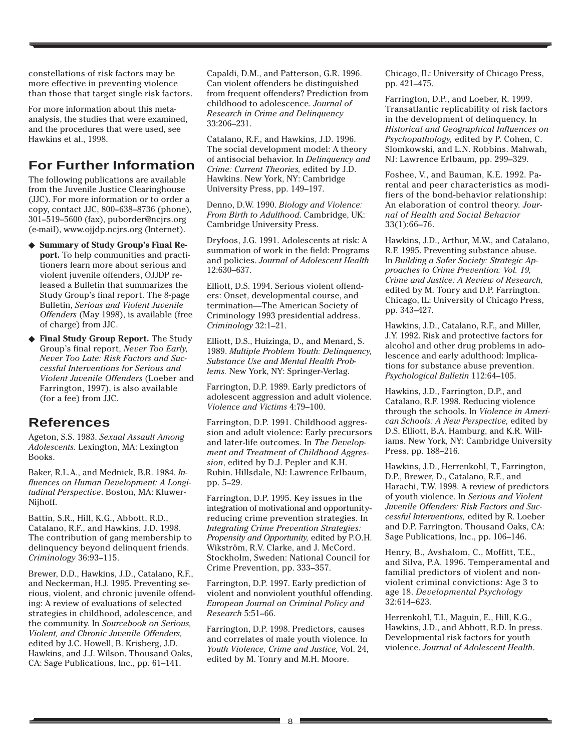constellations of risk factors may be more effective in preventing violence than those that target single risk factors.

For more information about this metaanalysis, the studies that were examined, and the procedures that were used, see Hawkins et al., 1998.

# **For Further Information**

The following publications are available from the Juvenile Justice Clearinghouse (JJC). For more information or to order a copy, contact JJC, 800–638–8736 (phone), 301–519–5600 (fax), puborder@ncjrs.org (e-mail), www.ojjdp.ncjrs.org (Internet).

- ◆ **Summary of Study Group's Final Report.** To help communities and practitioners learn more about serious and violent juvenile offenders, OJJDP released a Bulletin that summarizes the Study Group's final report. The 8-page Bulletin, *Serious and Violent Juvenile Offenders* (May 1998), is available (free of charge) from JJC.
- ◆ **Final Study Group Report.** The Study Group's final report, *Never Too Early, Never Too Late: Risk Factors and Successful Interventions for Serious and Violent Juvenile Offenders* (Loeber and Farrington, 1997), is also available (for a fee) from JJC.

# **References**

Ageton, S.S. 1983. *Sexual Assault Among Adolescents.* Lexington, MA: Lexington Books.

Baker, R.L.A., and Mednick, B.R. 1984. *Influences on Human Development: A Longitudinal Perspective*. Boston, MA: Kluwer-Nijhoff.

Battin, S.R., Hill, K.G., Abbott, R.D., Catalano, R.F., and Hawkins, J.D. 1998. The contribution of gang membership to delinquency beyond delinquent friends. *Criminology* 36:93–115.

Brewer, D.D., Hawkins, J.D., Catalano, R.F., and Neckerman, H.J. 1995. Preventing serious, violent, and chronic juvenile offending: A review of evaluations of selected strategies in childhood, adolescence, and the community. In *Sourcebook on Serious, Violent, and Chronic Juvenile Offenders,* edited by J.C. Howell, B. Krisberg, J.D. Hawkins, and J.J. Wilson. Thousand Oaks, CA: Sage Publications, Inc., pp. 61–141.

Capaldi, D.M., and Patterson, G.R. 1996. Can violent offenders be distinguished from frequent offenders? Prediction from childhood to adolescence. *Journal of Research in Crime and Delinquency* 33:206–231.

Catalano, R.F., and Hawkins, J.D. 1996. The social development model: A theory of antisocial behavior. In *Delinquency and Crime: Current Theories,* edited by J.D. Hawkins. New York, NY: Cambridge University Press, pp. 149–197.

Denno, D.W. 1990. *Biology and Violence: From Birth to Adulthood*. Cambridge, UK: Cambridge University Press.

Dryfoos, J.G. 1991. Adolescents at risk: A summation of work in the field: Programs and policies. *Journal of Adolescent Health* 12:630–637.

Elliott, D.S. 1994. Serious violent offenders: Onset, developmental course, and termination—The American Society of Criminology 1993 presidential address. *Criminology* 32:1–21.

Elliott, D.S., Huizinga, D., and Menard, S. 1989. *Multiple Problem Youth: Delinquency, Substance Use and Mental Health Problems.* New York, NY: Springer-Verlag.

Farrington, D.P. 1989. Early predictors of adolescent aggression and adult violence. *Violence and Victims* 4:79–100.

Farrington, D.P. 1991. Childhood aggression and adult violence: Early precursors and later-life outcomes. In *The Development and Treatment of Childhood Aggression*, edited by D.J. Pepler and K.H. Rubin. Hillsdale, NJ: Lawrence Erlbaum, pp. 5–29.

Farrington, D.P. 1995. Key issues in the integration of motivational and opportunityreducing crime prevention strategies. In *Integrating Crime Prevention Strategies: Propensity and Opportunity,* edited by P.O.H. Wikström, R.V. Clarke, and J. McCord. Stockholm, Sweden: National Council for Crime Prevention, pp. 333–357.

Farrington, D.P. 1997. Early prediction of violent and nonviolent youthful offending. *European Journal on Criminal Policy and Research* 5:51–66.

Farrington, D.P. 1998. Predictors, causes and correlates of male youth violence. In *Youth Violence, Crime and Justice,* Vol. 24, edited by M. Tonry and M.H. Moore.

Chicago, IL: University of Chicago Press, pp. 421–475.

Farrington, D.P., and Loeber, R. 1999. Transatlantic replicability of risk factors in the development of delinquency. In *Historical and Geographical Influences on Psychopathology,* edited by P. Cohen, C. Slomkowski, and L.N. Robbins. Mahwah, NJ: Lawrence Erlbaum, pp. 299–329.

Foshee, V., and Bauman, K.E. 1992. Parental and peer characteristics as modifiers of the bond-behavior relationship: An elaboration of control theory. *Journal of Health and Social Behavior* 33(1):66–76.

Hawkins, J.D., Arthur, M.W., and Catalano, R.F. 1995. Preventing substance abuse. In *Building a Safer Society: Strategic Approaches to Crime Prevention: Vol. 19, Crime and Justice: A Review of Research,* edited by M. Tonry and D.P. Farrington. Chicago, IL: University of Chicago Press, pp. 343–427.

Hawkins, J.D., Catalano, R.F., and Miller, J.Y. 1992. Risk and protective factors for alcohol and other drug problems in adolescence and early adulthood: Implications for substance abuse prevention. *Psychological Bulletin* 112:64–105.

Hawkins, J.D., Farrington, D.P., and Catalano, R.F. 1998. Reducing violence through the schools. In *Violence in American Schools: A New Perspective,* edited by D.S. Elliott, B.A. Hamburg, and K.R. Williams. New York, NY: Cambridge University Press, pp. 188–216.

Hawkins, J.D., Herrenkohl, T., Farrington, D.P., Brewer, D., Catalano, R.F., and Harachi, T.W. 1998. A review of predictors of youth violence. In *Serious and Violent Juvenile Offenders: Risk Factors and Successful Interventions,* edited by R. Loeber and D.P. Farrington. Thousand Oaks, CA: Sage Publications, Inc., pp. 106–146.

Henry, B., Avshalom, C., Moffitt, T.E., and Silva, P.A. 1996. Temperamental and familial predictors of violent and nonviolent criminal convictions: Age 3 to age 18. *Developmental Psychology* 32:614–623.

Herrenkohl, T.I., Maguin, E., Hill, K.G., Hawkins, J.D., and Abbott, R.D. In press. Developmental risk factors for youth violence. *Journal of Adolescent Health*.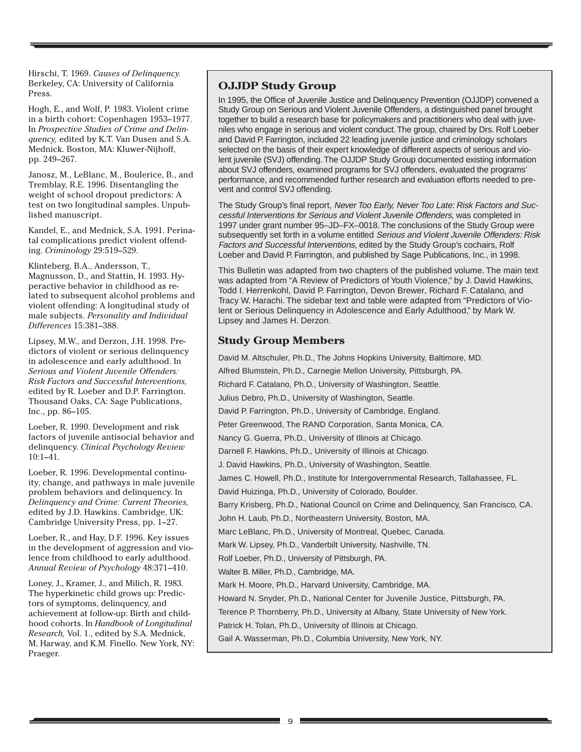Hirschi, T. 1969. *Causes of Delinquency.* Berkeley, CA: University of California Press.

Hogh, E., and Wolf, P. 1983. Violent crime in a birth cohort: Copenhagen 1953–1977. In *Prospective Studies of Crime and Delinquency,* edited by K.T. Van Dusen and S.A. Mednick. Boston, MA: Kluwer-Nijhoff, pp. 249–267.

Janosz, M., LeBlanc, M., Boulerice, B., and Tremblay, R.E. 1996. Disentangling the weight of school dropout predictors: A test on two longitudinal samples. Unpublished manuscript.

Kandel, E., and Mednick, S.A. 1991. Perinatal complications predict violent offending. *Criminology* 29:519–529.

Klinteberg, B.A., Andersson, T., Magnusson, D., and Stattin, H. 1993. Hyperactive behavior in childhood as related to subsequent alcohol problems and violent offending: A longitudinal study of male subjects. *Personality and Individual Differences* 15:381–388.

Lipsey, M.W., and Derzon, J.H. 1998. Predictors of violent or serious delinquency in adolescence and early adulthood. In *Serious and Violent Juvenile Offenders: Risk Factors and Successful Interventions,* edited by R. Loeber and D.P. Farrington. Thousand Oaks, CA: Sage Publications, Inc., pp. 86–105.

Loeber, R. 1990. Development and risk factors of juvenile antisocial behavior and delinquency. *Clinical Psychology Review* 10:1–41.

Loeber, R. 1996. Developmental continuity, change, and pathways in male juvenile problem behaviors and delinquency. In *Delinquency and Crime: Current Theories,* edited by J.D. Hawkins. Cambridge, UK: Cambridge University Press, pp. 1–27.

Loeber, R., and Hay, D.F. 1996. Key issues in the development of aggression and violence from childhood to early adulthood. *Annual Review of Psychology* 48:371–410.

Loney, J., Kramer, J., and Milich, R. 1983. The hyperkinetic child grows up: Predictors of symptoms, delinquency, and achievement at follow-up: Birth and childhood cohorts. In *Handbook of Longitudinal Research,* Vol. 1., edited by S.A. Mednick, M. Harway, and K.M. Finello. New York, NY: Praeger.

## **OJJDP Study Group**

In 1995, the Office of Juvenile Justice and Delinquency Prevention (OJJDP) convened a Study Group on Serious and Violent Juvenile Offenders, a distinguished panel brought together to build a research base for policymakers and practitioners who deal with juveniles who engage in serious and violent conduct. The group, chaired by Drs. Rolf Loeber and David P. Farrington, included 22 leading juvenile justice and criminology scholars selected on the basis of their expert knowledge of different aspects of serious and violent juvenile (SVJ) offending. The OJJDP Study Group documented existing information about SVJ offenders, examined programs for SVJ offenders, evaluated the programs' performance, and recommended further research and evaluation efforts needed to prevent and control SVJ offending.

The Study Group's final report, Never Too Early, Never Too Late: Risk Factors and Successful Interventions for Serious and Violent Juvenile Offenders, was completed in 1997 under grant number 95–JD–FX–0018. The conclusions of the Study Group were subsequently set forth in a volume entitled Serious and Violent Juvenile Offenders: Risk Factors and Successful Interventions, edited by the Study Group's cochairs, Rolf Loeber and David P. Farrington, and published by Sage Publications, Inc., in 1998.

This Bulletin was adapted from two chapters of the published volume. The main text was adapted from "A Review of Predictors of Youth Violence," by J. David Hawkins, Todd I. Herrenkohl, David P. Farrington, Devon Brewer, Richard F. Catalano, and Tracy W. Harachi. The sidebar text and table were adapted from "Predictors of Violent or Serious Delinquency in Adolescence and Early Adulthood," by Mark W. Lipsey and James H. Derzon.

## **Study Group Members**

David M. Altschuler, Ph.D., The Johns Hopkins University, Baltimore, MD. Alfred Blumstein, Ph.D., Carnegie Mellon University, Pittsburgh, PA. Richard F. Catalano, Ph.D., University of Washington, Seattle. Julius Debro, Ph.D., University of Washington, Seattle. David P. Farrington, Ph.D., University of Cambridge, England. Peter Greenwood, The RAND Corporation, Santa Monica, CA. Nancy G. Guerra, Ph.D., University of Illinois at Chicago. Darnell F. Hawkins, Ph.D., University of Illinois at Chicago. J. David Hawkins, Ph.D., University of Washington, Seattle. James C. Howell, Ph.D., Institute for Intergovernmental Research, Tallahassee, FL. David Huizinga, Ph.D., University of Colorado, Boulder. Barry Krisberg, Ph.D., National Council on Crime and Delinquency, San Francisco, CA. John H. Laub, Ph.D., Northeastern University, Boston, MA. Marc LeBlanc, Ph.D., University of Montreal, Quebec, Canada. Mark W. Lipsey, Ph.D., Vanderbilt University, Nashville, TN. Rolf Loeber, Ph.D., University of Pittsburgh, PA. Walter B. Miller, Ph.D., Cambridge, MA. Mark H. Moore, Ph.D., Harvard University, Cambridge, MA. Howard N. Snyder, Ph.D., National Center for Juvenile Justice, Pittsburgh, PA. Terence P. Thornberry, Ph.D., University at Albany, State University of New York. Patrick H. Tolan, Ph.D., University of Illinois at Chicago.

Gail A. Wasserman, Ph.D., Columbia University, New York, NY.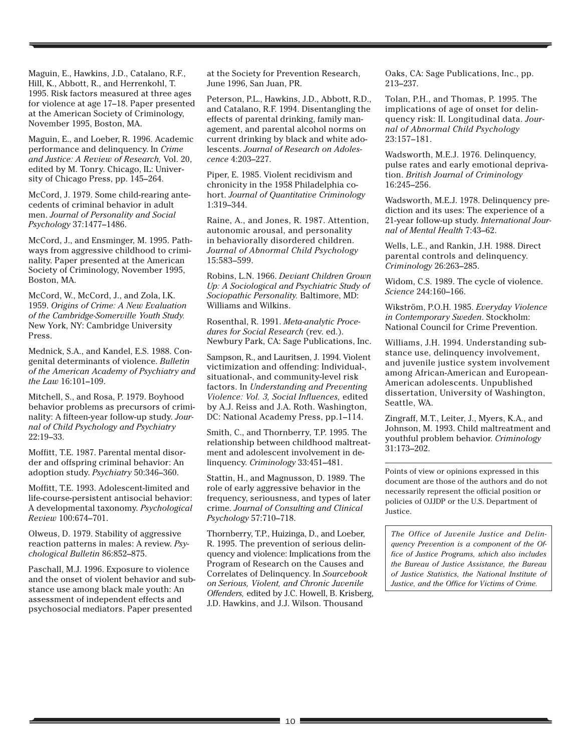Maguin, E., Hawkins, J.D., Catalano, R.F., Hill, K., Abbott, R., and Herrenkohl, T. 1995. Risk factors measured at three ages for violence at age 17–18. Paper presented at the American Society of Criminology, November 1995, Boston, MA.

Maguin, E., and Loeber, R. 1996. Academic performance and delinquency. In *Crime and Justice: A Review of Research,* Vol. 20, edited by M. Tonry. Chicago, IL: University of Chicago Press, pp. 145–264.

McCord, J. 1979. Some child-rearing antecedents of criminal behavior in adult men. *Journal of Personality and Social Psychology* 37:1477–1486.

McCord, J., and Ensminger, M. 1995. Pathways from aggressive childhood to criminality. Paper presented at the American Society of Criminology, November 1995, Boston, MA.

McCord, W., McCord, J., and Zola, I.K. 1959. *Origins of Crime: A New Evaluation of the Cambridge-Somerville Youth Study.* New York, NY: Cambridge University Press.

Mednick, S.A., and Kandel, E.S. 1988. Congenital determinants of violence. *Bulletin of the American Academy of Psychiatry and the Law* 16:101–109.

Mitchell, S., and Rosa, P. 1979. Boyhood behavior problems as precursors of criminality: A fifteen-year follow-up study. *Journal of Child Psychology and Psychiatry* 22:19–33.

Moffitt, T.E. 1987. Parental mental disorder and offspring criminal behavior: An adoption study. *Psychiatry* 50:346–360.

Moffitt, T.E. 1993. Adolescent-limited and life-course-persistent antisocial behavior: A developmental taxonomy. *Psychological Review* 100:674–701.

Olweus, D. 1979. Stability of aggressive reaction patterns in males: A review. *Psychological Bulletin* 86:852–875.

Paschall, M.J. 1996. Exposure to violence and the onset of violent behavior and substance use among black male youth: An assessment of independent effects and psychosocial mediators. Paper presented

at the Society for Prevention Research, June 1996, San Juan, PR.

Peterson, P.L., Hawkins, J.D., Abbott, R.D., and Catalano, R.F. 1994. Disentangling the effects of parental drinking, family management, and parental alcohol norms on current drinking by black and white adolescents. *Journal of Research on Adolescence* 4:203–227.

Piper, E. 1985. Violent recidivism and chronicity in the 1958 Philadelphia cohort. *Journal of Quantitative Criminology* 1:319–344.

Raine, A., and Jones, R. 1987. Attention, autonomic arousal, and personality in behaviorally disordered children. *Journal of Abnormal Child Psychology* 15:583–599.

Robins, L.N. 1966. *Deviant Children Grown Up: A Sociological and Psychiatric Study of Sociopathic Personality.* Baltimore, MD: Williams and Wilkins.

Rosenthal, R. 1991. *Meta-analytic Procedures for Social Research* (rev. ed.). Newbury Park, CA: Sage Publications, Inc.

Sampson, R., and Lauritsen, J. 1994. Violent victimization and offending: Individual-, situational-, and community-level risk factors. In *Understanding and Preventing Violence: Vol. 3, Social Influences,* edited by A.J. Reiss and J.A. Roth. Washington, DC: National Academy Press, pp.1–114.

Smith, C., and Thornberry, T.P. 1995. The relationship between childhood maltreatment and adolescent involvement in delinquency. *Criminology* 33:451–481.

Stattin, H., and Magnusson, D. 1989. The role of early aggressive behavior in the frequency, seriousness, and types of later crime. *Journal of Consulting and Clinical Psychology* 57:710–718.

Thornberry, T.P., Huizinga, D., and Loeber, R. 1995. The prevention of serious delinquency and violence: Implications from the Program of Research on the Causes and Correlates of Delinquency. In *Sourcebook on Serious, Violent, and Chronic Juvenile Offenders,* edited by J.C. Howell, B. Krisberg, J.D. Hawkins, and J.J. Wilson. Thousand

Oaks, CA: Sage Publications, Inc., pp. 213–237.

Tolan, P.H., and Thomas, P. 1995. The implications of age of onset for delinquency risk: II. Longitudinal data. *Journal of Abnormal Child Psychology* 23:157–181.

Wadsworth, M.E.J. 1976. Delinquency, pulse rates and early emotional deprivation. *British Journal of Criminology* 16:245–256.

Wadsworth, M.E.J. 1978. Delinquency prediction and its uses: The experience of a 21-year follow-up study. *International Journal of Mental Health* 7:43–62.

Wells, L.E., and Rankin, J.H. 1988. Direct parental controls and delinquency. *Criminology* 26:263–285.

Widom, C.S. 1989. The cycle of violence. *Science* 244:160–166.

Wikström, P.O.H. 1985. *Everyday Violence in Contemporary Sweden*. Stockholm: National Council for Crime Prevention.

Williams, J.H. 1994. Understanding substance use, delinquency involvement, and juvenile justice system involvement among African-American and European-American adolescents. Unpublished dissertation, University of Washington, Seattle, WA.

Zingraff, M.T., Leiter, J., Myers, K.A., and Johnson, M. 1993. Child maltreatment and youthful problem behavior. *Criminology* 31:173–202.

Points of view or opinions expressed in this document are those of the authors and do not necessarily represent the official position or policies of OJJDP or the U.S. Department of Justice.

*The Office of Juvenile Justice and Delinquency Prevention is a component of the Office of Justice Programs, which also includes the Bureau of Justice Assistance, the Bureau of Justice Statistics, the National Institute of Justice, and the Office for Victims of Crime.*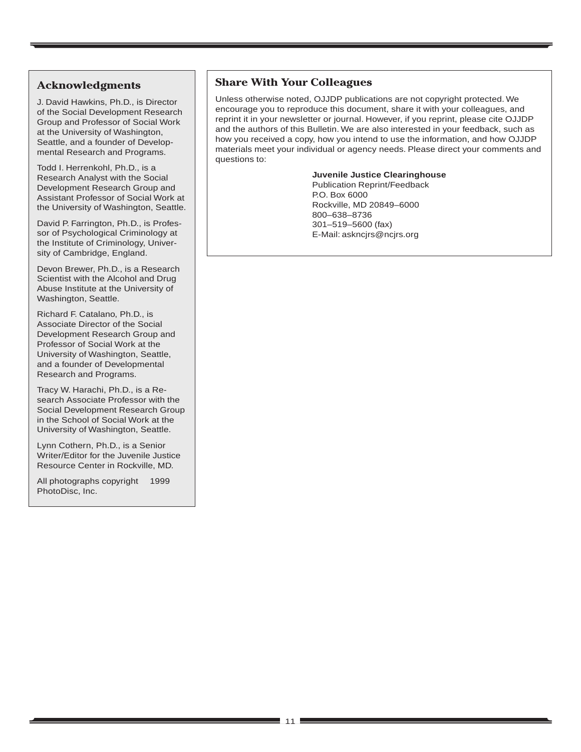## **Acknowledgments**

J. David Hawkins, Ph.D., is Director of the Social Development Research Group and Professor of Social Work at the University of Washington, Seattle, and a founder of Developmental Research and Programs.

Todd I. Herrenkohl, Ph.D., is a Research Analyst with the Social Development Research Group and Assistant Professor of Social Work at the University of Washington, Seattle.

David P. Farrington, Ph.D., is Professor of Psychological Criminology at the Institute of Criminology, University of Cambridge, England.

Devon Brewer, Ph.D., is a Research Scientist with the Alcohol and Drug Abuse Institute at the University of Washington, Seattle.

Richard F. Catalano, Ph.D., is Associate Director of the Social Development Research Group and Professor of Social Work at the University of Washington, Seattle, and a founder of Developmental Research and Programs.

Tracy W. Harachi, Ph.D., is a Research Associate Professor with the Social Development Research Group in the School of Social Work at the University of Washington, Seattle.

Lynn Cothern, Ph.D., is a Senior Writer/Editor for the Juvenile Justice Resource Center in Rockville, MD.

All photographs copyright © 1999 PhotoDisc, Inc.

## **Share With Your Colleagues**

Unless otherwise noted, OJJDP publications are not copyright protected. We encourage you to reproduce this document, share it with your colleagues, and reprint it in your newsletter or journal. However, if you reprint, please cite OJJDP and the authors of this Bulletin. We are also interested in your feedback, such as how you received a copy, how you intend to use the information, and how OJJDP materials meet your individual or agency needs. Please direct your comments and questions to:

#### **Juvenile Justice Clearinghouse**

Publication Reprint/Feedback P.O. Box 6000 Rockville, MD 20849–6000 800–638–8736 301–519–5600 (fax) E-Mail: askncjrs@ncjrs.org